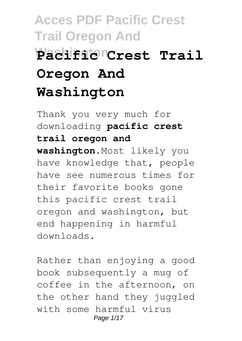# **Acces PDF Pacific Crest Trail Oregon And Washington Pacific Crest Trail Oregon And Washington**

Thank you very much for downloading **pacific crest trail oregon and washington**.Most likely you have knowledge that, people have see numerous times for their favorite books gone this pacific crest trail oregon and washington, but end happening in harmful downloads.

Rather than enjoying a good book subsequently a mug of coffee in the afternoon, on the other hand they juggled with some harmful virus Page 1/17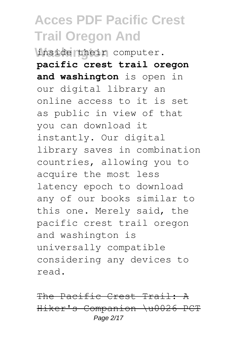**Washington** inside their computer. **pacific crest trail oregon and washington** is open in our digital library an online access to it is set as public in view of that you can download it instantly. Our digital library saves in combination countries, allowing you to acquire the most less latency epoch to download any of our books similar to this one. Merely said, the pacific crest trail oregon and washington is universally compatible considering any devices to read.

The Pacific Crest Trail: A Hiker's Companion \u0026 PCT Page 2/17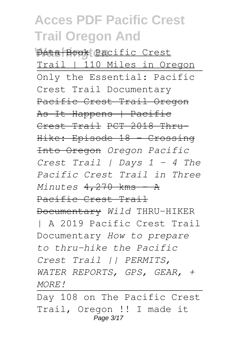**Wata Book** Pacific Crest Trail | 110 Miles in Oregon Only the Essential: Pacific Crest Trail Documentary Pacific Crest Trail Oregon As It Happens | Pacific Crest Trail PCT 2018 Thru-Hike: Episode 18 - Crossing Into Oregon *Oregon Pacific Crest Trail | Days 1 - 4 The Pacific Crest Trail in Three Minutes* 4,270 kms - A Pacific Crest Trail Documentary *Wild* THRU-HIKER | A 2019 Pacific Crest Trail Documentary *How to prepare to thru-hike the Pacific Crest Trail || PERMITS, WATER REPORTS, GPS, GEAR, + MORE!*

Day 108 on The Pacific Crest Trail, Oregon !! I made it Page 3/17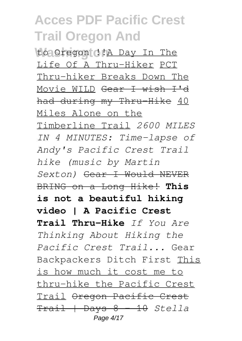**Washington** to Oregon !!A Day In The Life Of A Thru-Hiker PCT Thru-hiker Breaks Down The Movie WILD Gear I wish I'd had during my Thru-Hike 40 Miles Alone on the Timberline Trail *2600 MILES IN 4 MINUTES: Time-lapse of Andy's Pacific Crest Trail hike (music by Martin Sexton)* Gear I Would NEVER BRING on a Long Hike! **This is not a beautiful hiking video | A Pacific Crest Trail Thru-Hike** *If You Are Thinking About Hiking the Pacific Crest Trail...* Gear Backpackers Ditch First This is how much it cost me to thru-hike the Pacific Crest Trail Oregon Pacific Crest Trail | Days 8 - 10 *Stella* Page 4/17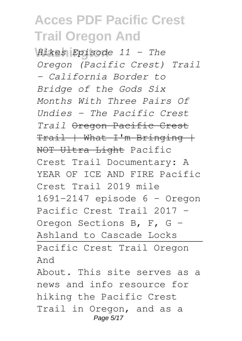**Washington** *Hikes Episode 11 - The Oregon (Pacific Crest) Trail - California Border to Bridge of the Gods Six Months With Three Pairs Of Undies - The Pacific Crest Trail* Oregon Pacific Crest  $Train + What + I'm Brinding +$ NOT Ultra Light Pacific Crest Trail Documentary: A YEAR OF ICE AND FIRE Pacific Crest Trail 2019 mile 1691-2147 episode 6 - Oregon Pacific Crest Trail 2017 - Oregon Sections B, F, G - Ashland to Cascade Locks Pacific Crest Trail Oregon And About. This site serves as a

news and info resource for hiking the Pacific Crest Trail in Oregon, and as a Page 5/17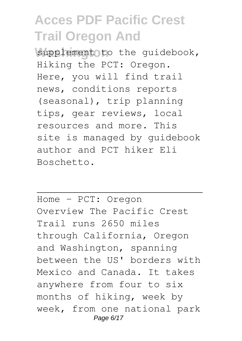supplement to the guidebook, Hiking the PCT: Oregon. Here, you will find trail news, conditions reports (seasonal), trip planning tips, gear reviews, local resources and more. This site is managed by guidebook author and PCT hiker Eli Boschetto.

Home - PCT: Oregon Overview The Pacific Crest Trail runs 2650 miles through California, Oregon and Washington, spanning between the US' borders with Mexico and Canada. It takes anywhere from four to six months of hiking, week by week, from one national park Page 6/17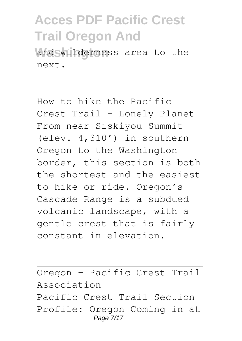and wilderness area to the next.

How to hike the Pacific Crest Trail - Lonely Planet From near Siskiyou Summit (elev. 4,310′) in southern Oregon to the Washington border, this section is both the shortest and the easiest to hike or ride. Oregon's Cascade Range is a subdued volcanic landscape, with a gentle crest that is fairly constant in elevation.

Oregon - Pacific Crest Trail Association Pacific Crest Trail Section Profile: Oregon Coming in at Page 7/17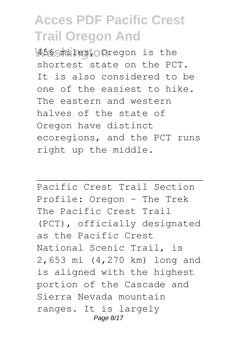**Washington** 456 miles, Oregon is the shortest state on the PCT. It is also considered to be one of the easiest to hike. The eastern and western halves of the state of Oregon have distinct ecoregions, and the PCT runs right up the middle.

Pacific Crest Trail Section Profile: Oregon - The Trek The Pacific Crest Trail (PCT), officially designated as the Pacific Crest National Scenic Trail, is 2,653 mi (4,270 km) long and is aligned with the highest portion of the Cascade and Sierra Nevada mountain ranges. It is largely Page 8/17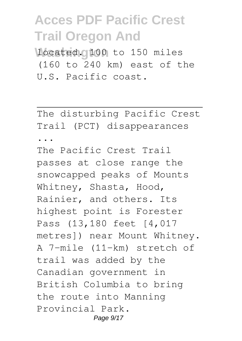**located. 100** to 150 miles (160 to 240 km) east of the U.S. Pacific coast.

The disturbing Pacific Crest Trail (PCT) disappearances

...

The Pacific Crest Trail passes at close range the snowcapped peaks of Mounts Whitney, Shasta, Hood, Rainier, and others. Its highest point is Forester Pass (13,180 feet [4,017 metres]) near Mount Whitney. A 7-mile (11-km) stretch of trail was added by the Canadian government in British Columbia to bring the route into Manning Provincial Park. Page 9/17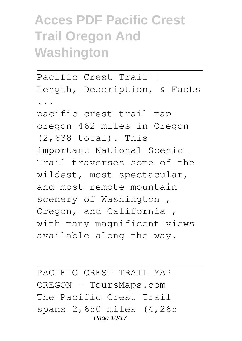## **Acces PDF Pacific Crest Trail Oregon And Washington**

Pacific Crest Trail | Length, Description, & Facts ...

pacific crest trail map oregon 462 miles in Oregon (2,638 total). This important National Scenic Trail traverses some of the wildest, most spectacular, and most remote mountain scenery of Washington , Oregon, and California , with many magnificent views available along the way.

PACIFIC CREST TRAIL MAP OREGON - ToursMaps.com The Pacific Crest Trail spans 2,650 miles (4,265 Page 10/17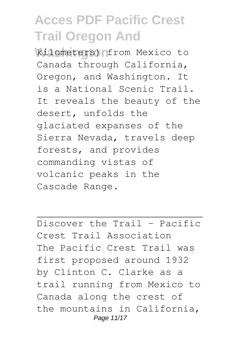**Wilometers) Infrom Mexico to** Canada through California, Oregon, and Washington. It is a National Scenic Trail. It reveals the beauty of the desert, unfolds the glaciated expanses of the Sierra Nevada, travels deep forests, and provides commanding vistas of volcanic peaks in the Cascade Range.

Discover the Trail - Pacific Crest Trail Association The Pacific Crest Trail was first proposed around 1932 by Clinton C. Clarke as a trail running from Mexico to Canada along the crest of the mountains in California, Page 11/17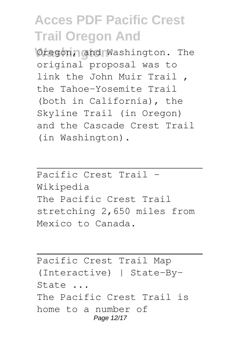Oregon, and Washington. The original proposal was to link the John Muir Trail , the Tahoe–Yosemite Trail (both in California), the Skyline Trail (in Oregon) and the Cascade Crest Trail (in Washington).

Pacific Crest Trail - Wikipedia The Pacific Crest Trail stretching 2,650 miles from Mexico to Canada.

Pacific Crest Trail Map (Interactive) | State-By-State ... The Pacific Crest Trail is home to a number of Page 12/17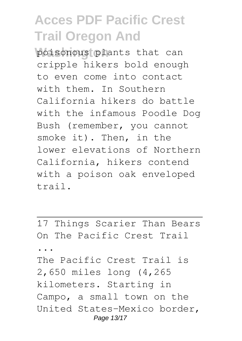poisonous plants that can cripple hikers bold enough to even come into contact with them. In Southern California hikers do battle with the infamous Poodle Dog Bush (remember, you cannot smoke it). Then, in the lower elevations of Northern California, hikers contend with a poison oak enveloped trail.

17 Things Scarier Than Bears On The Pacific Crest Trail ... The Pacific Crest Trail is 2,650 miles long (4,265 kilometers. Starting in Campo, a small town on the United States-Mexico border, Page 13/17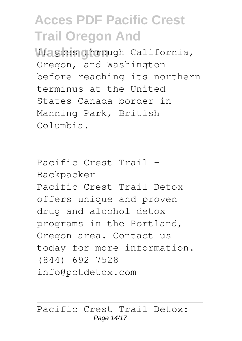it goes through California, Oregon, and Washington before reaching its northern terminus at the United States-Canada border in Manning Park, British Columbia.

Pacific Crest Trail - Backpacker Pacific Crest Trail Detox offers unique and proven drug and alcohol detox programs in the Portland, Oregon area. Contact us today for more information. (844) 692-7528 info@pctdetox.com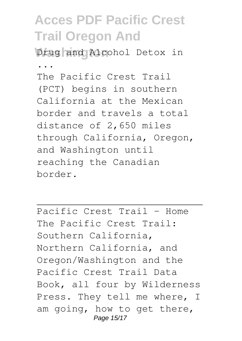Drug and Alcohol Detox in

...

The Pacific Crest Trail (PCT) begins in southern California at the Mexican border and travels a total distance of 2,650 miles through California, Oregon, and Washington until reaching the Canadian border.

Pacific Crest Trail - Home The Pacific Crest Trail: Southern California, Northern California, and Oregon/Washington and the Pacific Crest Trail Data Book, all four by Wilderness Press. They tell me where, I am going, how to get there, Page 15/17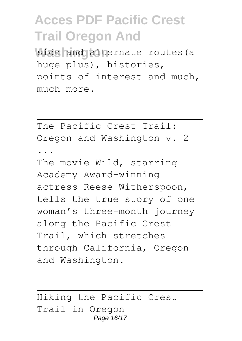side and alternate routes (a huge plus), histories, points of interest and much, much more.

The Pacific Crest Trail: Oregon and Washington v. 2

...

The movie Wild, starring Academy Award-winning actress Reese Witherspoon, tells the true story of one woman's three-month journey along the Pacific Crest Trail, which stretches through California, Oregon and Washington.

Hiking the Pacific Crest Trail in Oregon Page 16/17